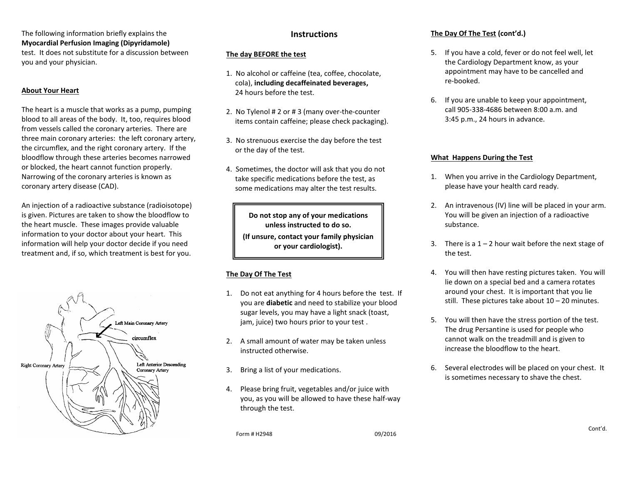The following information briefly explains the **Myocardial Perfusion Imaging (Dipyridamole)** test. It does not substitute for a discussion between you and your physician.

#### **About Your Heart**

The heart is a muscle that works as a pump, pumping blood to all areas of the body. It, too, requires blood from vessels called the coronary arteries. There are three main coronary arteries: the left coronary artery, the circumflex, and the right coronary artery. If the bloodflow through these arteries becomes narrowed or blocked, the heart cannot function properly. Narrowing of the coronary arteries is known as coronary artery disease (CAD).

An injection of a radioactive substance (radioisotope) is given. Pictures are taken to show the bloodflow to the heart muscle. These images provide valuable information to your doctor about your heart. This information will help your doctor decide if you need treatment and, if so, which treatment is best for you.



## **Instructions**

#### **The day BEFORE the test**

- 1. No alcohol or caffeine (tea, coffee, chocolate, cola), **including decaffeinated beverages,** 24 hours before the test.
- 2. No Tylenol # 2 or # 3 (many over-the-counter items contain caffeine; please check packaging).
- 3. No strenuous exercise the day before the test or the day of the test.
- 4. Sometimes, the doctor will ask that you do not take specific medications before the test, as some medications may alter the test results.

**Do not stop any of your medications unless instructed to do so. (If unsure, contact your family physician or your cardiologist).**

# **The Day Of The Test**

- 1. Do not eat anything for 4 hours before the test. If you are **diabetic** and need to stabilize your blood sugar levels, you may have a light snack (toast, jam, juice) two hours prior to your test .
- 2. A small amount of water may be taken unless instructed otherwise.
- 3. Bring a list of your medications.
- 4. Please bring fruit, vegetables and/or juice with you, as you will be allowed to have these half-way through the test.

Form # H2948 09/2016

#### **The Day Of The Test (cont'd.)**

- 5. If you have a cold, fever or do not feel well, let the Cardiology Department know, as your appointment may have to be cancelled and re-booked.
- 6. If you are unable to keep your appointment, call 905-338-4686 between 8:00 a.m. and 3:45 p.m., 24 hours in advance.

#### **What Happens During the Test**

- 1. When you arrive in the Cardiology Department, please have your health card ready.
- 2. An intravenous (IV) line will be placed in your arm. You will be given an injection of a radioactive substance.
- 3. There is a  $1 2$  hour wait before the next stage of the test.
- 4. You will then have resting pictures taken. You will lie down on a special bed and a camera rotates around your chest. It is important that you lie still. These pictures take about  $10 - 20$  minutes.
- 5. You will then have the stress portion of the test. The drug Persantine is used for people who cannot walk on the treadmill and is given to increase the bloodflow to the heart.
- 6. Several electrodes will be placed on your chest. It is sometimes necessary to shave the chest.